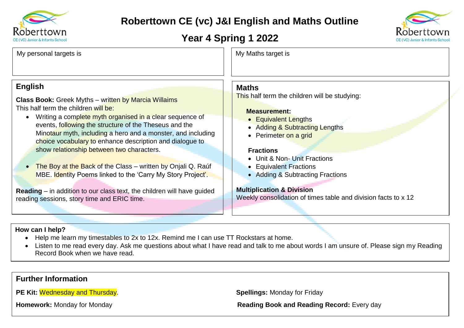

## **Roberttown CE (vc) J&I English and Maths Outline**

## **Year 4 Spring 1 2022**



| My personal targets is                                                                                                                                                                                                                                                                                                                                                                                                                                                                                                                                                                                                                                                                | My Maths target is                                                                                                                                                                                                                                                                                                                                                                                  |
|---------------------------------------------------------------------------------------------------------------------------------------------------------------------------------------------------------------------------------------------------------------------------------------------------------------------------------------------------------------------------------------------------------------------------------------------------------------------------------------------------------------------------------------------------------------------------------------------------------------------------------------------------------------------------------------|-----------------------------------------------------------------------------------------------------------------------------------------------------------------------------------------------------------------------------------------------------------------------------------------------------------------------------------------------------------------------------------------------------|
| <b>English</b><br><b>Class Book:</b> Greek Myths – written by Marcia Willaims<br>This half term the children will be:<br>Writing a complete myth organised in a clear sequence of<br>events, following the structure of the Theseus and the<br>Minotaur myth, including a hero and a monster, and including<br>choice vocabulary to enhance description and dialogue to<br>show relationship between two characters.<br>The Boy at the Back of the Class – written by Onjali Q. Rauf<br>MBE. Identity Poems linked to the 'Carry My Story Project'.<br><b>Reading</b> $-$ in addition to our class text, the children will have guided<br>reading sessions, story time and ERIC time. | <b>Maths</b><br>This half term the children will be studying:<br><b>Measurement:</b><br>• Equivalent Lengths<br>• Adding & Subtracting Lengths<br>• Perimeter on a grid<br><b>Fractions</b><br>• Unit & Non- Unit Fractions<br>• Equivalent Fractions<br>• Adding & Subtracting Fractions<br><b>Multiplication &amp; Division</b><br>Weekly consolidation of times table and division facts to x 12 |

## **How can I help?**

- Help me learn my timestables to 2x to 12x. Remind me I can use TT Rockstars at home.
- Listen to me read every day. Ask me questions about what I have read and talk to me about words I am unsure of. Please sign my Reading Record Book when we have read.

## **Further Information**

**PE Kit:** Wednesday and Thursday. **Spellings:** Monday for Friday

**Homework:** Monday for Monday **Reading Book and Reading Record:** Every day